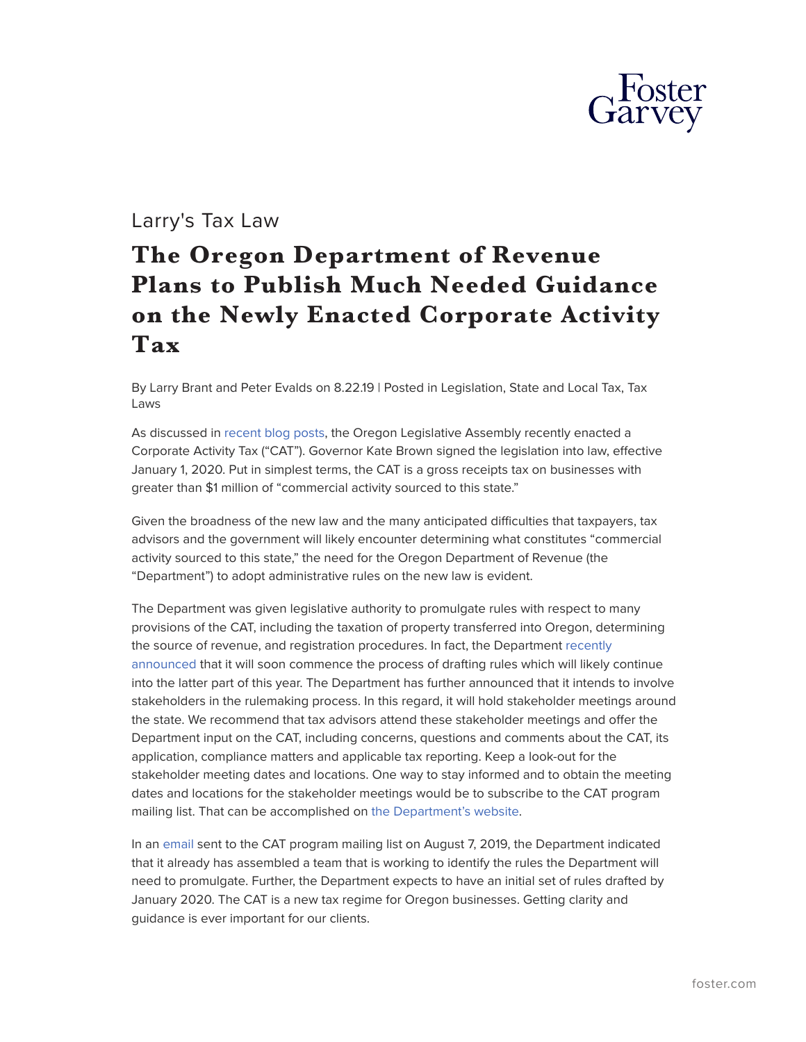

## Larry's Tax Law

## **The Oregon Department of Revenue Plans to Publish Much Needed Guidance on the Newly Enacted Corporate Activity Tax**

By Larry Brant and Peter Evalds on 8.22.19 | Posted in Legislation, State and Local Tax, Tax Laws

As discussed in [recent blog posts,](https://www.foster.com/larry-s-tax-law/tag/oregon-CAT-enacted) the Oregon Legislative Assembly recently enacted a Corporate Activity Tax ("CAT"). Governor Kate Brown signed the legislation into law, effective January 1, 2020. Put in simplest terms, the CAT is a gross receipts tax on businesses with greater than \$1 million of "commercial activity sourced to this state."

Given the broadness of the new law and the many anticipated difficulties that taxpayers, tax advisors and the government will likely encounter determining what constitutes "commercial activity sourced to this state," the need for the Oregon Department of Revenue (the "Department") to adopt administrative rules on the new law is evident.

The Department was given legislative authority to promulgate rules with respect to many provisions of the CAT, including the taxation of property transferred into Oregon, determining the source of revenue, and registration procedures. In fact, the Department [recently](https://www.oregon.gov/DOR/programs/businesses/Pages/corporate-activity-tax.aspx) [announced](https://www.oregon.gov/DOR/programs/businesses/Pages/corporate-activity-tax.aspx) that it will soon commence the process of drafting rules which will likely continue into the latter part of this year. The Department has further announced that it intends to involve stakeholders in the rulemaking process. In this regard, it will hold stakeholder meetings around the state. We recommend that tax advisors attend these stakeholder meetings and offer the Department input on the CAT, including concerns, questions and comments about the CAT, its application, compliance matters and applicable tax reporting. Keep a look-out for the stakeholder meeting dates and locations. One way to stay informed and to obtain the meeting dates and locations for the stakeholder meetings would be to subscribe to the CAT program mailing list. That can be accomplished on [the Department's website](https://www.oregon.gov/DOR/programs/businesses/Pages/corporate-activity-tax.aspx).

In an [email](https://www.foster.com/assets/htmldocuments/pdfs/Oregon-DOR-email.pdf) sent to the CAT program mailing list on August 7, 2019, the Department indicated that it already has assembled a team that is working to identify the rules the Department will need to promulgate. Further, the Department expects to have an initial set of rules drafted by January 2020. The CAT is a new tax regime for Oregon businesses. Getting clarity and guidance is ever important for our clients.